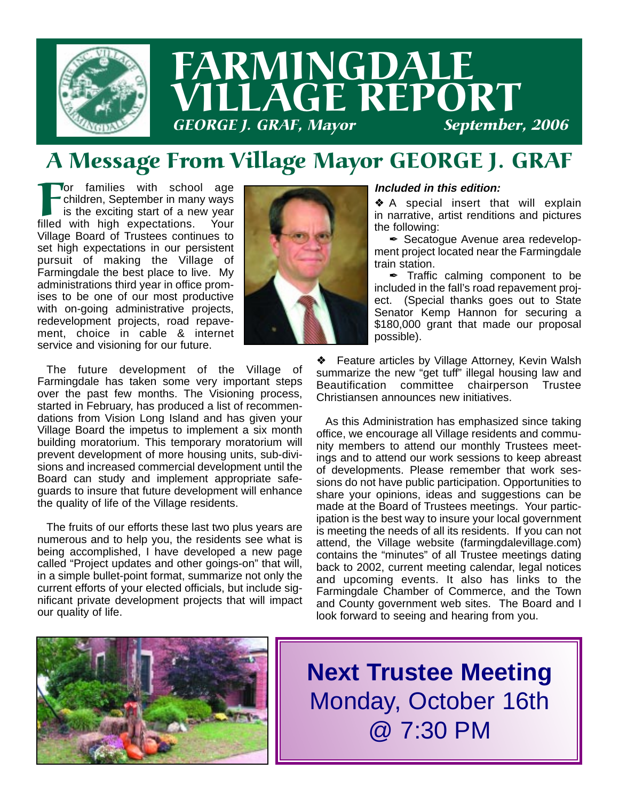

## A Message From Village Mayor GEORGE J. GRAF

**For families with school age**<br>
children, September in many ways<br>
is the exciting start of a new year<br>
filled with high expectations. Your children, September in many ways is the exciting start of a new year filled with high expectations. Your Village Board of Trustees continues to set high expectations in our persistent pursuit of making the Village of Farmingdale the best place to live. My administrations third year in office promises to be one of our most productive with on-going administrative projects, redevelopment projects, road repavement, choice in cable & internet service and visioning for our future.

The future development of the Village of Farmingdale has taken some very important steps over the past few months. The Visioning process, started in February, has produced a list of recommendations from Vision Long Island and has given your Village Board the impetus to implement a six month building moratorium. This temporary moratorium will prevent development of more housing units, sub-divisions and increased commercial development until the Board can study and implement appropriate safeguards to insure that future development will enhance the quality of life of the Village residents.

The fruits of our efforts these last two plus years are numerous and to help you, the residents see what is being accomplished, I have developed a new page called "Project updates and other goings-on" that will, in a simple bullet-point format, summarize not only the current efforts of your elected officials, but include significant private development projects that will impact our quality of life.



### **Included in this edition:**

❖ A special insert that will explain in narrative, artist renditions and pictures the following:

**∕ Secatogue Avenue area redevelop**ment project located near the Farmingdale train station.

 $\mathscr I$  Traffic calming component to be included in the fall's road repavement project. (Special thanks goes out to State Senator Kemp Hannon for securing a \$180,000 grant that made our proposal possible).

Feature articles by Village Attorney, Kevin Walsh summarize the new "get tuff" illegal housing law and Beautification committee chairperson Trustee Christiansen announces new initiatives.

As this Administration has emphasized since taking office, we encourage all Village residents and community members to attend our monthly Trustees meetings and to attend our work sessions to keep abreast of developments. Please remember that work sessions do not have public participation. Opportunities to share your opinions, ideas and suggestions can be made at the Board of Trustees meetings. Your participation is the best way to insure your local government is meeting the needs of all its residents. If you can not attend, the Village website (farmingdalevillage.com) contains the "minutes" of all Trustee meetings dating back to 2002, current meeting calendar, legal notices and upcoming events. It also has links to the Farmingdale Chamber of Commerce, and the Town and County government web sites. The Board and I look forward to seeing and hearing from you.



**Next Trustee Meeting** Monday, October 16th @ 7:30 PM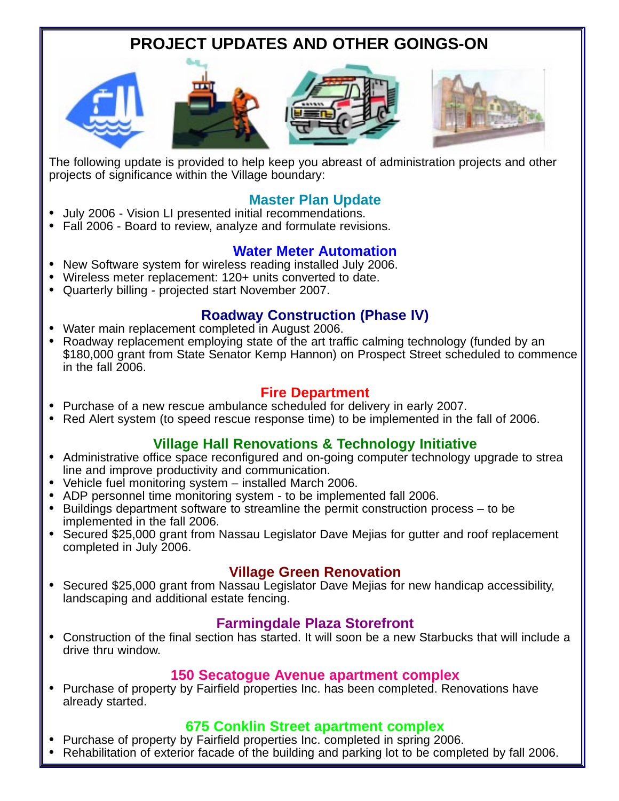## **PROJECT UPDATES AND OTHER GOINGS-ON**









The following update is provided to help keep you abreast of administration projects and other projects of significance within the Village boundary:

- **Master Plan Update** July 2006 Vision LI presented initial recommendations.
- Fall 2006 Board to review, analyze and formulate revisions.

- **Water Meter Automation**<br>New Software system for wireless reading installed July 2006.
- Wireless meter replacement: 120+ units converted to date.
- Quarterly billing projected start November 2007.

- **Roadway Construction (Phase IV)** Water main replacement completed in August 2006.
- Roadway replacement employing state of the art traffic calming technology (funded by an \$180,000 grant from State Senator Kemp Hannon) on Prospect Street scheduled to commence in the fall 2006.

- **Fire Department**<br>**•** Purchase of a new rescue ambulance scheduled for delivery in early 2007.
- Red Alert system (to speed rescue response time) to be implemented in the fall of 2006.

- **Village Hall Renovations & Technology Initiative**<br>Administrative office space reconfigured and on-going computer technology upgrade to strea line and improve productivity and communication.
- Vehicle fuel monitoring system installed March 2006.
- ADP personnel time monitoring system to be implemented fall 2006.
- Buildings department software to streamline the permit construction process to be implemented in the fall 2006.
- Secured \$25,000 grant from Nassau Legislator Dave Mejias for gutter and roof replacement completed in July 2006.

**Village Green Renovation**<br>Secured \$25,000 grant from Nassau Legislator Dave Mejias for new handicap accessibility, landscaping and additional estate fencing.

**Farmingdale Plaza Storefront**<br>Construction of the final section has started. It will soon be a new Starbucks that will include a drive thru window.

**150 Secatogue Avenue apartment complex**<br>Purchase of property by Fairfield properties Inc. has been completed. Renovations have already started.

- **675 Conklin Street apartment complex**<br>Purchase of property by Fairfield properties Inc. completed in spring 2006.
- Rehabilitation of exterior facade of the building and parking lot to be completed by fall 2006.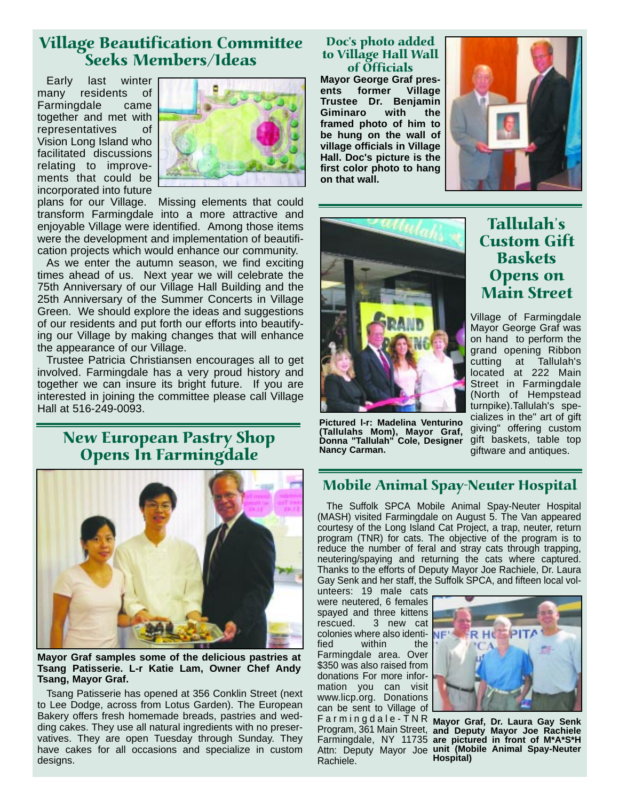## Village Beautification Committee Seeks Members/Ideas

Early last winter many residents of Farmingdale came together and met with representatives of Vision Long Island who facilitated discussions relating to improvements that could be incorporated into future



plans for our Village. Missing elements that could transform Farmingdale into a more attractive and enjoyable Village were identified. Among those items were the development and implementation of beautification projects which would enhance our community.

As we enter the autumn season, we find exciting times ahead of us. Next year we will celebrate the 75th Anniversary of our Village Hall Building and the 25th Anniversary of the Summer Concerts in Village Green. We should explore the ideas and suggestions of our residents and put forth our efforts into beautifying our Village by making changes that will enhance the appearance of our Village.

Trustee Patricia Christiansen encourages all to get involved. Farmingdale has a very proud history and together we can insure its bright future. If you are interested in joining the committee please call Village Hall at 516-249-0093.

## New European Pastry Shop Opens In Farmingdale



**Mayor Graf samples some of the delicious pastries at Tsang Patisserie. L-r Katie Lam, Owner Chef Andy Tsang, Mayor Graf.**

Tsang Patisserie has opened at 356 Conklin Street (next to Lee Dodge, across from Lotus Garden). The European Bakery offers fresh homemade breads, pastries and wedding cakes. They use all natural ingredients with no preservatives. They are open Tuesday through Sunday. They have cakes for all occasions and specialize in custom designs.

### Doc's photo added to Village Hall Wall of Officials

**Mayor George Graf presents former Village Trustee Dr. Benjamin Giminaro with the framed photo of him to be hung on the wall of village officials in Village Hall. Doc's picture is the first color photo to hang on that wall.**





**Pictured l-r: Madelina Venturino (Tallulahs Mom), Mayor Graf, Donna "Tallulah" Cole, Designer Nancy Carman.**

Tallulah's Custom Gift **Baskets** Opens on Main Street

Village of Farmingdale Mayor George Graf was on hand to perform the grand opening Ribbon cutting at Tallulah's located at 222 Main Street in Farmingdale (North of Hempstead turnpike).Tallulah's specializes in the" art of gift giving" offering custom gift baskets, table top giftware and antiques.

## Mobile Animal Spay-Neuter Hospital

The Suffolk SPCA Mobile Animal Spay-Neuter Hospital (MASH) visited Farmingdale on August 5. The Van appeared courtesy of the Long Island Cat Project, a trap, neuter, return program (TNR) for cats. The objective of the program is to reduce the number of feral and stray cats through trapping, neutering/spaying and returning the cats where captured. Thanks to the efforts of Deputy Mayor Joe Rachiele, Dr. Laura Gay Senk and her staff, the Suffolk SPCA, and fifteen local vol-

unteers: 19 male cats were neutered, 6 females spayed and three kittens rescued. 3 new cat colonies where also identified within the Farmingdale area. Over \$350 was also raised from donations For more information you can visit www.licp.org. Donations can be sent to Village of Farmingdale-TNR Rachiele.



Farmingdaie-TNK **Mayor Graf, Dr. Laura Gay Senk**<br>Program, 361 Main Street, and Deputy Mayor Joe Rachiele Farmingdale, NY 11735 **are pictured in front of M\*A\*S\*H** Attn: Deputy Mayor Joe **unit (Mobile Animal Spay-Neuter and Deputy Mayor Joe Rachiele Hospital)**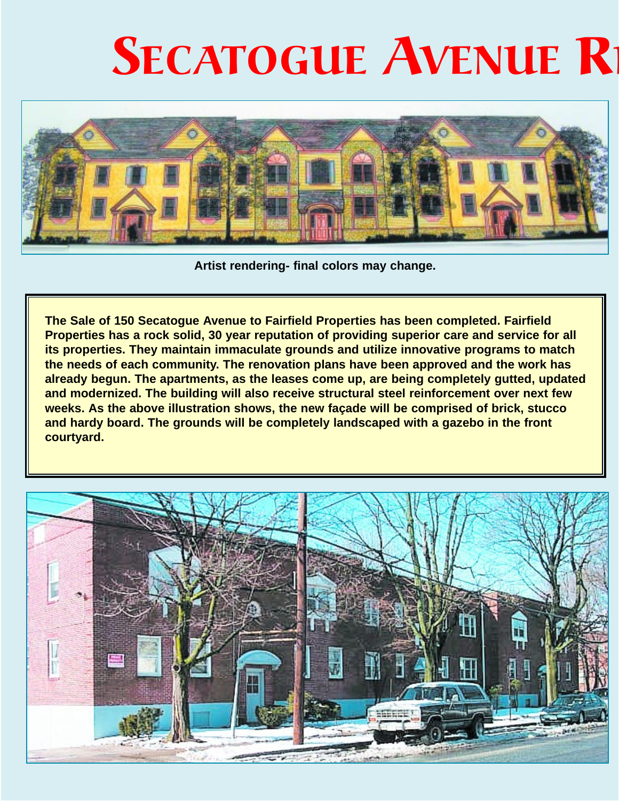# SECATOGUE AVENUE R



**Artist rendering- final colors may change.**

**The Sale of 150 Secatogue Avenue to Fairfield Properties has been completed. Fairfield Properties has a rock solid, 30 year reputation of providing superior care and service for all its properties. They maintain immaculate grounds and utilize innovative programs to match the needs of each community. The renovation plans have been approved and the work has already begun. The apartments, as the leases come up, are being completely gutted, updated and modernized. The building will also receive structural steel reinforcement over next few weeks. As the above illustration shows, the new façade will be comprised of brick, stucco and hardy board. The grounds will be completely landscaped with a gazebo in the front courtyard.**

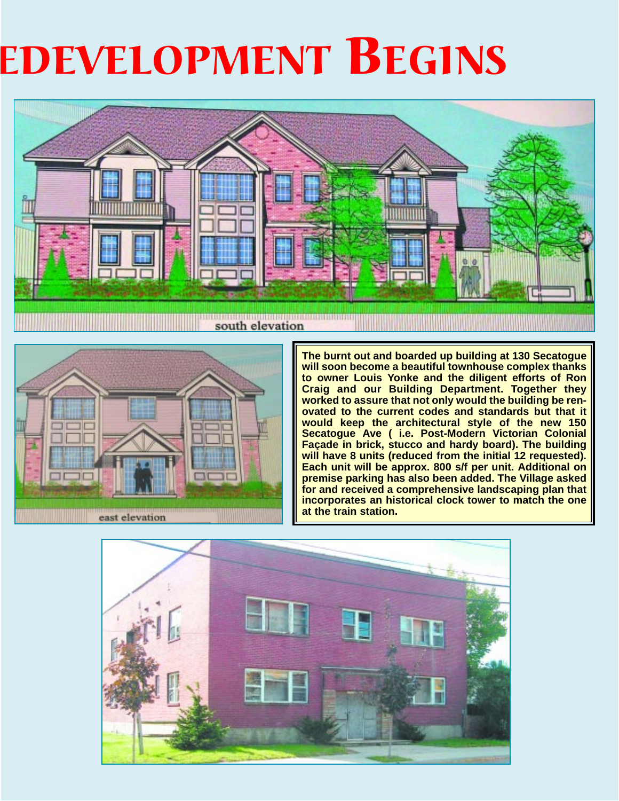# EDEVELOPMENT BEGINS





**The burnt out and boarded up building at 130 Secatogue will soon become a beautiful townhouse complex thanks to owner Louis Yonke and the diligent efforts of Ron Craig and our Building Department. Together they worked to assure that not only would the building be renovated to the current codes and standards but that it would keep the architectural style of the new 150 Secatogue Ave ( i.e. Post-Modern Victorian Colonial Façade in brick, stucco and hardy board). The building will have 8 units (reduced from the initial 12 requested). Each unit will be approx. 800 s/f per unit. Additional on premise parking has also been added. The Village asked for and received a comprehensive landscaping plan that incorporates an historical clock tower to match the one at the train station.**

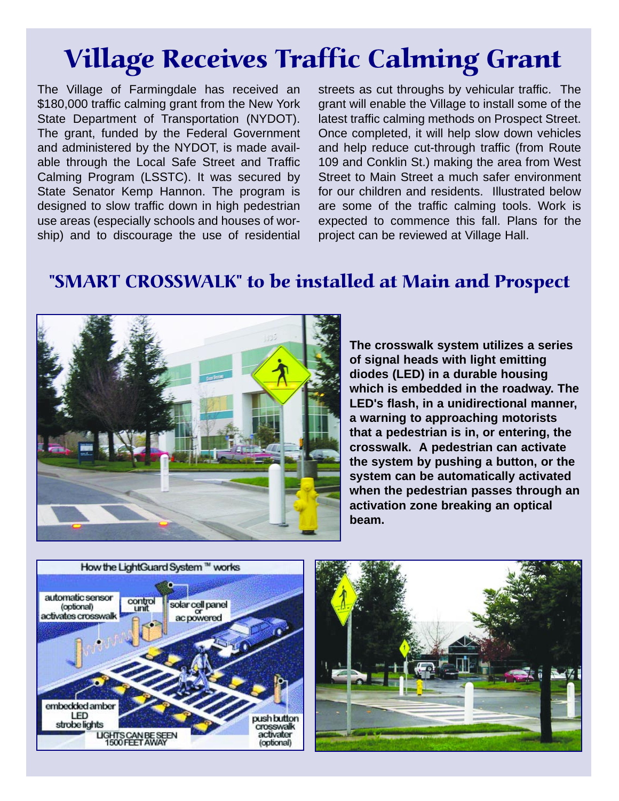# Village Receives Traffic Calming Grant

The Village of Farmingdale has received an \$180,000 traffic calming grant from the New York State Department of Transportation (NYDOT). The grant, funded by the Federal Government and administered by the NYDOT, is made available through the Local Safe Street and Traffic Calming Program (LSSTC). It was secured by State Senator Kemp Hannon. The program is designed to slow traffic down in high pedestrian use areas (especially schools and houses of worship) and to discourage the use of residential

streets as cut throughs by vehicular traffic. The grant will enable the Village to install some of the latest traffic calming methods on Prospect Street. Once completed, it will help slow down vehicles and help reduce cut-through traffic (from Route 109 and Conklin St.) making the area from West Street to Main Street a much safer environment for our children and residents. Illustrated below are some of the traffic calming tools. Work is expected to commence this fall. Plans for the project can be reviewed at Village Hall.

## "SMART CROSSWALK" to be installed at Main and Prospect



**The crosswalk system utilizes a series of signal heads with light emitting diodes (LED) in a durable housing which is embedded in the roadway. The LED's flash, in a unidirectional manner, a warning to approaching motorists that a pedestrian is in, or entering, the crosswalk. A pedestrian can activate the system by pushing a button, or the system can be automatically activated when the pedestrian passes through an activation zone breaking an optical beam.**



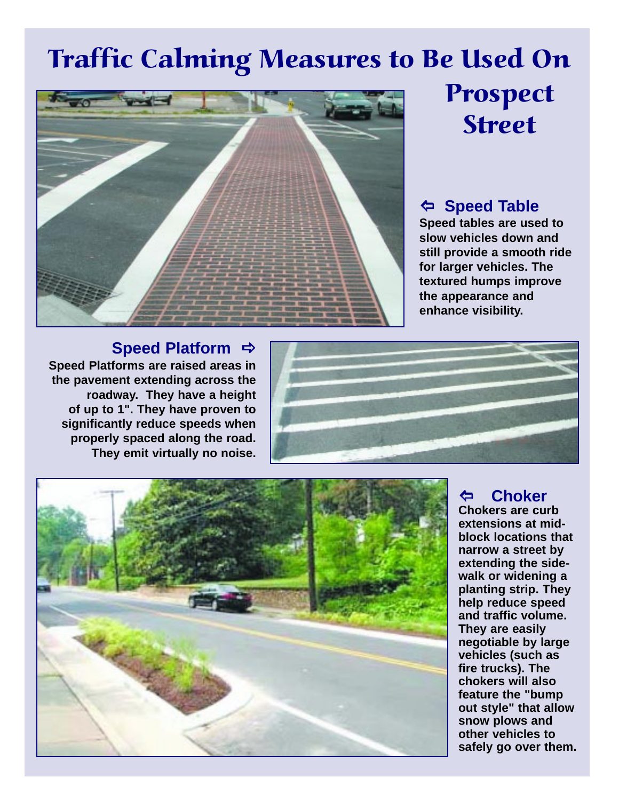# Traffic Calming Measures to Be Used On



# Prospect Street

## \ **Speed Table**

**Speed tables are used to slow vehicles down and still provide a smooth ride for larger vehicles. The textured humps improve the appearance and enhance visibility.**

## **Speed Platform**  $\Rightarrow$

**Speed Platforms are raised areas in the pavement extending across the roadway. They have a height of up to 1". They have proven to significantly reduce speeds when properly spaced along the road. They emit virtually no noise.**





### \ **Choker Chokers are curb extensions at midblock locations that narrow a street by extending the sidewalk or widening a planting strip. They help reduce speed and traffic volume. They are easily negotiable by large vehicles (such as fire trucks). The chokers will also feature the "bump out style" that allow snow plows and other vehicles to safely go over them.**